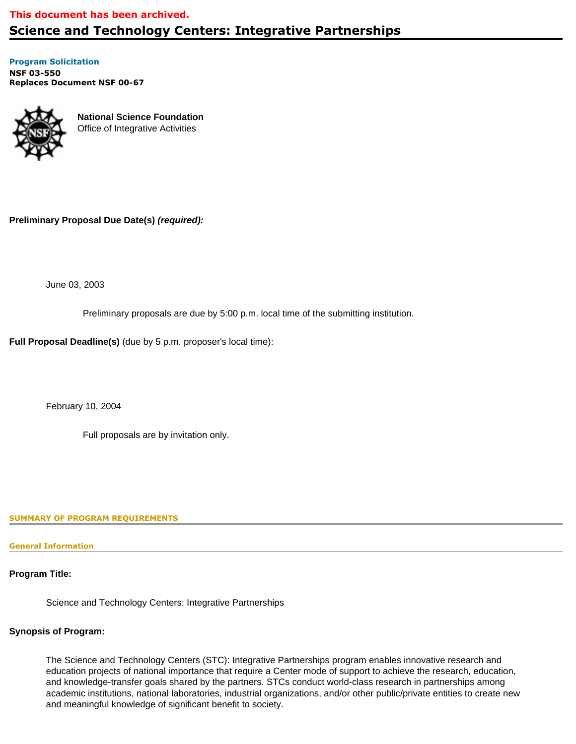**[Program Solicitation](#page-2-0)  NSF 03-550**  *Replaces Document NSF 00-67* 



**National Science Foundation** Office of Integrative Activities

**Preliminary Proposal Due Date(s)** *(required):*

June 03, 2003

Preliminary proposals are due by 5:00 p.m. local time of the submitting institution.

**Full Proposal Deadline(s)** (due by 5 p.m. proposer's local time):

February 10, 2004

Full proposals are by invitation only.

## <span id="page-0-0"></span>**SUMMARY OF PROGRAM REQUIREMENTS**

## **General Information**

**Program Title:**

Science and Technology Centers: Integrative Partnerships

# **Synopsis of Program:**

The Science and Technology Centers (STC): Integrative Partnerships program enables innovative research and education projects of national importance that require a Center mode of support to achieve the research, education, and knowledge-transfer goals shared by the partners. STCs conduct world-class research in partnerships among academic institutions, national laboratories, industrial organizations, and/or other public/private entities to create new and meaningful knowledge of significant benefit to society.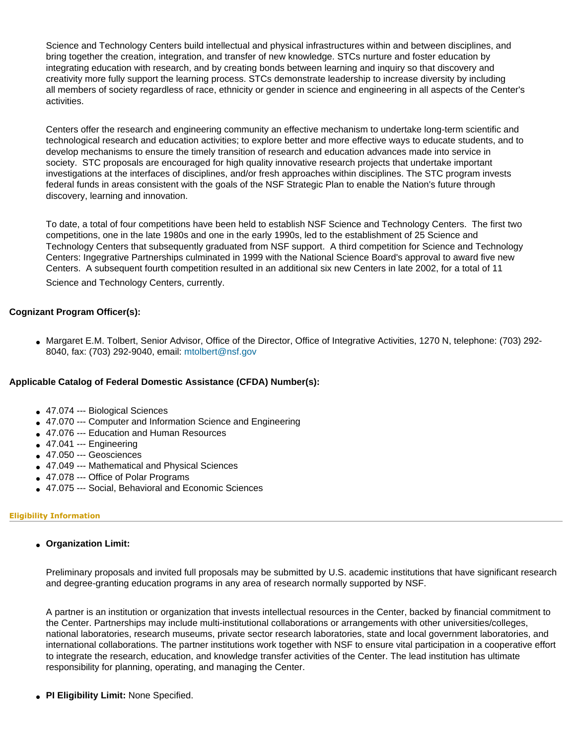Science and Technology Centers build intellectual and physical infrastructures within and between disciplines, and bring together the creation, integration, and transfer of new knowledge. STCs nurture and foster education by integrating education with research, and by creating bonds between learning and inquiry so that discovery and creativity more fully support the learning process. STCs demonstrate leadership to increase diversity by including all members of society regardless of race, ethnicity or gender in science and engineering in all aspects of the Center's activities.

Centers offer the research and engineering community an effective mechanism to undertake long-term scientific and technological research and education activities; to explore better and more effective ways to educate students, and to develop mechanisms to ensure the timely transition of research and education advances made into service in society. STC proposals are encouraged for high quality innovative research projects that undertake important investigations at the interfaces of disciplines, and/or fresh approaches within disciplines. The STC program invests federal funds in areas consistent with the goals of the NSF Strategic Plan to enable the Nation's future through discovery, learning and innovation.

To date, a total of four competitions have been held to establish NSF Science and Technology Centers. The first two competitions, one in the late 1980s and one in the early 1990s, led to the establishment of 25 Science and Technology Centers that subsequently graduated from NSF support. A third competition for Science and Technology Centers: Ingegrative Partnerships culminated in 1999 with the National Science Board's approval to award five new Centers. A subsequent fourth competition resulted in an additional six new Centers in late 2002, for a total of 11

Science and Technology Centers, currently.

## **Cognizant Program Officer(s):**

• Margaret E.M. Tolbert, Senior Advisor, Office of the Director, Office of Integrative Activities, 1270 N, telephone: (703) 292-8040, fax: (703) 292-9040, email: [mtolbert@nsf.gov](mailto:mtolbert@nsf.gov)

## **Applicable Catalog of Federal Domestic Assistance (CFDA) Number(s):**

- 47.074 --- Biological Sciences
- 47.070 --- Computer and Information Science and Engineering
- 47.076 --- Education and Human Resources
- $\bullet$  47.041 --- Engineering
- 47.050 --- Geosciences
- 47.049 --- Mathematical and Physical Sciences
- 47.078 --- Office of Polar Programs
- 47.075 --- Social, Behavioral and Economic Sciences

#### **Eligibility Information**

## ● **Organization Limit:**

Preliminary proposals and invited full proposals may be submitted by U.S. academic institutions that have significant research and degree-granting education programs in any area of research normally supported by NSF.

A partner is an institution or organization that invests intellectual resources in the Center, backed by financial commitment to the Center. Partnerships may include multi-institutional collaborations or arrangements with other universities/colleges, national laboratories, research museums, private sector research laboratories, state and local government laboratories, and international collaborations. The partner institutions work together with NSF to ensure vital participation in a cooperative effort to integrate the research, education, and knowledge transfer activities of the Center. The lead institution has ultimate responsibility for planning, operating, and managing the Center.

**PI Eligibility Limit: None Specified.**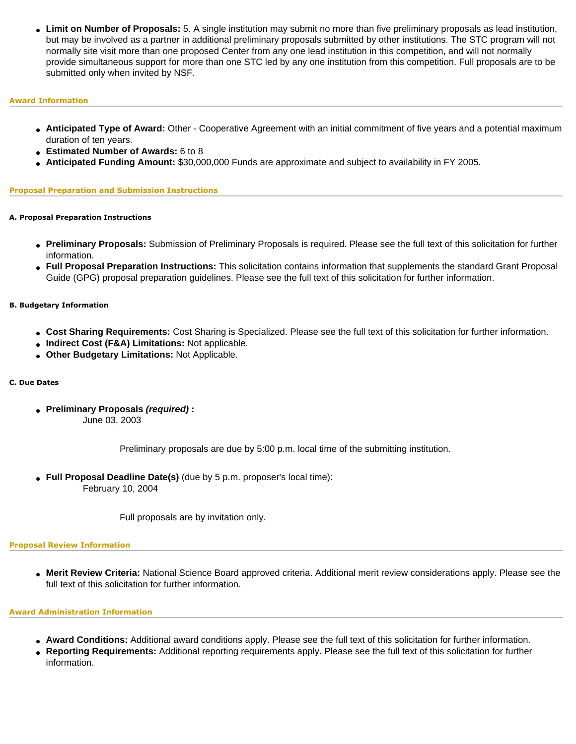• Limit on Number of Proposals: 5. A single institution may submit no more than five preliminary proposals as lead institution, but may be involved as a partner in additional preliminary proposals submitted by other institutions. The STC program will not normally site visit more than one proposed Center from any one lead institution in this competition, and will not normally provide simultaneous support for more than one STC led by any one institution from this competition. Full proposals are to be submitted only when invited by NSF.

#### **Award Information**

- Anticipated Type of Award: Other Cooperative Agreement with an initial commitment of five years and a potential maximum duration of ten years.
- **Estimated Number of Awards:** 6 to 8
- **Anticipated Funding Amount:** \$30,000,000 Funds are approximate and subject to availability in FY 2005.

## **Proposal Preparation and Submission Instructions**

### **A. Proposal Preparation Instructions**

- **Preliminary Proposals:** Submission of Preliminary Proposals is required. Please see the full text of this solicitation for further information.
- **Full Proposal Preparation Instructions:** This solicitation contains information that supplements the standard Grant Proposal Guide (GPG) proposal preparation guidelines. Please see the full text of this solicitation for further information.

#### **B. Budgetary Information**

- Cost Sharing Requirements: Cost Sharing is Specialized. Please see the full text of this solicitation for further information.
- **Indirect Cost (F&A) Limitations:** Not applicable.
- **Other Budgetary Limitations:** Not Applicable.

### **C. Due Dates**

● **Preliminary Proposals** *(required)* **:** June 03, 2003

Preliminary proposals are due by 5:00 p.m. local time of the submitting institution.

● **Full Proposal Deadline Date(s)** (due by 5 p.m. proposer's local time):

February 10, 2004

Full proposals are by invitation only.

#### **Proposal Review Information**

● **Merit Review Criteria:** National Science Board approved criteria. Additional merit review considerations apply. Please see the full text of this solicitation for further information.

#### **Award Administration Information**

- **Award Conditions:** Additional award conditions apply. Please see the full text of this solicitation for further information.
- <span id="page-2-0"></span>● **Reporting Requirements:** Additional reporting requirements apply. Please see the full text of this solicitation for further information.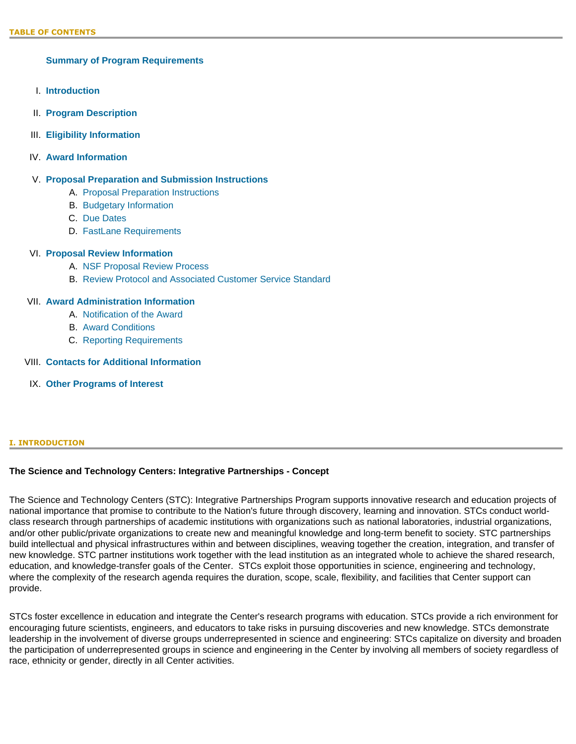### **[Summary of Program Requirements](#page-0-0)**

- I. **[Introduction](#page-3-0)**
- II. **[Program Description](#page-3-1)**
- III. **[Eligibility Information](#page-6-0)**
- IV. **[Award Information](#page-7-0)**
- V. **[Proposal Preparation and Submission Instructions](#page-8-0)**
	- A. [Proposal Preparation Instructions](#page-8-0)
	- B. [Budgetary Information](#page-16-0)
	- C. [Due Dates](#page-16-1)
	- D. [FastLane Requirements](#page-17-0)

### VI. **[Proposal Review Information](#page-17-1)**

- A. [NSF Proposal Review Process](#page-17-2)
- B. [Review Protocol and Associated Customer Service Standard](#page-19-0)

### VII. **[Award Administration Information](#page-19-1)**

- A. [Notification of the Award](#page-20-0)
- B. [Award Conditions](#page-20-1)
- C. [Reporting Requirements](#page-20-2)

## VIII. **[Contacts for Additional Information](#page-21-0)**

<span id="page-3-0"></span>IX. **[Other Programs of Interest](#page-21-1)**

## **I. INTRODUCTION**

## **The Science and Technology Centers: Integrative Partnerships - Concept**

The Science and Technology Centers (STC): Integrative Partnerships Program supports innovative research and education projects of national importance that promise to contribute to the Nation's future through discovery, learning and innovation. STCs conduct worldclass research through partnerships of academic institutions with organizations such as national laboratories, industrial organizations, and/or other public/private organizations to create new and meaningful knowledge and long-term benefit to society. STC partnerships build intellectual and physical infrastructures within and between disciplines, weaving together the creation, integration, and transfer of new knowledge. STC partner institutions work together with the lead institution as an integrated whole to achieve the shared research, education, and knowledge-transfer goals of the Center. STCs exploit those opportunities in science, engineering and technology, where the complexity of the research agenda requires the duration, scope, scale, flexibility, and facilities that Center support can provide.

<span id="page-3-1"></span>STCs foster excellence in education and integrate the Center's research programs with education. STCs provide a rich environment for encouraging future scientists, engineers, and educators to take risks in pursuing discoveries and new knowledge. STCs demonstrate leadership in the involvement of diverse groups underrepresented in science and engineering: STCs capitalize on diversity and broaden the participation of underrepresented groups in science and engineering in the Center by involving all members of society regardless of race, ethnicity or gender, directly in all Center activities.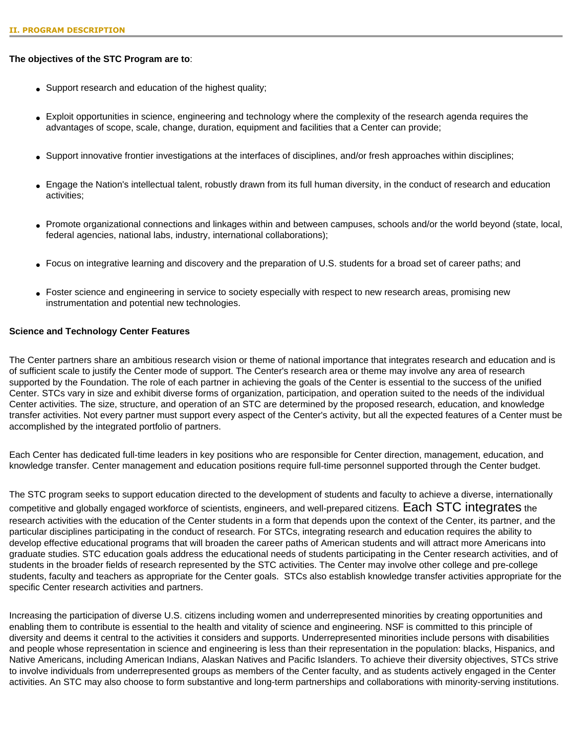### **The objectives of the STC Program are to**:

- Support research and education of the highest quality;
- Exploit opportunities in science, engineering and technology where the complexity of the research agenda requires the advantages of scope, scale, change, duration, equipment and facilities that a Center can provide;
- Support innovative frontier investigations at the interfaces of disciplines, and/or fresh approaches within disciplines;
- Engage the Nation's intellectual talent, robustly drawn from its full human diversity, in the conduct of research and education activities;
- Promote organizational connections and linkages within and between campuses, schools and/or the world beyond (state, local, federal agencies, national labs, industry, international collaborations);
- Focus on integrative learning and discovery and the preparation of U.S. students for a broad set of career paths; and
- Foster science and engineering in service to society especially with respect to new research areas, promising new instrumentation and potential new technologies.

### **Science and Technology Center Features**

The Center partners share an ambitious research vision or theme of national importance that integrates research and education and is of sufficient scale to justify the Center mode of support. The Center's research area or theme may involve any area of research supported by the Foundation. The role of each partner in achieving the goals of the Center is essential to the success of the unified Center. STCs vary in size and exhibit diverse forms of organization, participation, and operation suited to the needs of the individual Center activities. The size, structure, and operation of an STC are determined by the proposed research, education, and knowledge transfer activities. Not every partner must support every aspect of the Center's activity, but all the expected features of a Center must be accomplished by the integrated portfolio of partners.

Each Center has dedicated full-time leaders in key positions who are responsible for Center direction, management, education, and knowledge transfer. Center management and education positions require full-time personnel supported through the Center budget.

The STC program seeks to support education directed to the development of students and faculty to achieve a diverse, internationally competitive and globally engaged workforce of scientists, engineers, and well-prepared citizens. Each STC integrates the research activities with the education of the Center students in a form that depends upon the context of the Center, its partner, and the particular disciplines participating in the conduct of research. For STCs, integrating research and education requires the ability to develop effective educational programs that will broaden the career paths of American students and will attract more Americans into graduate studies. STC education goals address the educational needs of students participating in the Center research activities, and of students in the broader fields of research represented by the STC activities. The Center may involve other college and pre-college students, faculty and teachers as appropriate for the Center goals. STCs also establish knowledge transfer activities appropriate for the specific Center research activities and partners.

Increasing the participation of diverse U.S. citizens including women and underrepresented minorities by creating opportunities and enabling them to contribute is essential to the health and vitality of science and engineering. NSF is committed to this principle of diversity and deems it central to the activities it considers and supports. Underrepresented minorities include persons with disabilities and people whose representation in science and engineering is less than their representation in the population: blacks, Hispanics, and Native Americans, including American Indians, Alaskan Natives and Pacific Islanders. To achieve their diversity objectives, STCs strive to involve individuals from underrepresented groups as members of the Center faculty, and as students actively engaged in the Center activities. An STC may also choose to form substantive and long-term partnerships and collaborations with minority-serving institutions.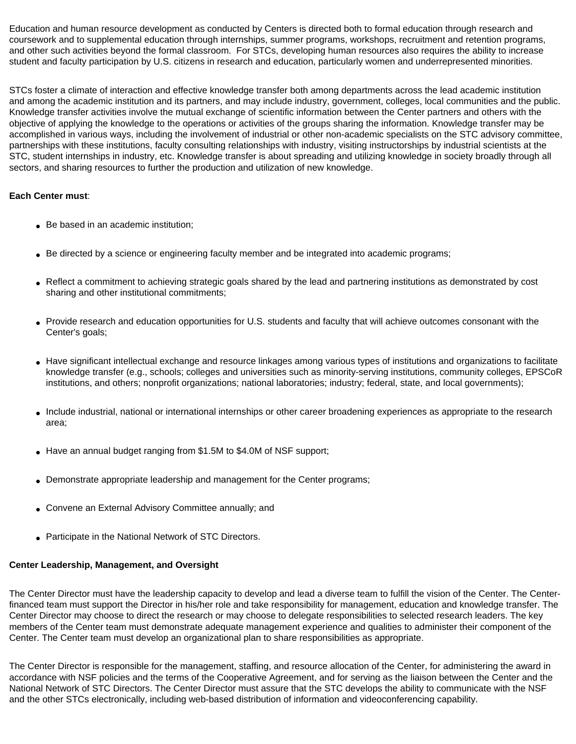Education and human resource development as conducted by Centers is directed both to formal education through research and coursework and to supplemental education through internships, summer programs, workshops, recruitment and retention programs, and other such activities beyond the formal classroom. For STCs, developing human resources also requires the ability to increase student and faculty participation by U.S. citizens in research and education, particularly women and underrepresented minorities.

STCs foster a climate of interaction and effective knowledge transfer both among departments across the lead academic institution and among the academic institution and its partners, and may include industry, government, colleges, local communities and the public. Knowledge transfer activities involve the mutual exchange of scientific information between the Center partners and others with the objective of applying the knowledge to the operations or activities of the groups sharing the information. Knowledge transfer may be accomplished in various ways, including the involvement of industrial or other non-academic specialists on the STC advisory committee, partnerships with these institutions, faculty consulting relationships with industry, visiting instructorships by industrial scientists at the STC, student internships in industry, etc. Knowledge transfer is about spreading and utilizing knowledge in society broadly through all sectors, and sharing resources to further the production and utilization of new knowledge.

# **Each Center must**:

- Be based in an academic institution;
- Be directed by a science or engineering faculty member and be integrated into academic programs;
- Reflect a commitment to achieving strategic goals shared by the lead and partnering institutions as demonstrated by cost sharing and other institutional commitments;
- Provide research and education opportunities for U.S. students and faculty that will achieve outcomes consonant with the Center's goals;
- Have significant intellectual exchange and resource linkages among various types of institutions and organizations to facilitate knowledge transfer (e.g., schools; colleges and universities such as minority-serving institutions, community colleges, EPSCoR institutions, and others; nonprofit organizations; national laboratories; industry; federal, state, and local governments);
- Include industrial, national or international internships or other career broadening experiences as appropriate to the research area;
- Have an annual budget ranging from \$1.5M to \$4.0M of NSF support;
- Demonstrate appropriate leadership and management for the Center programs;
- Convene an External Advisory Committee annually; and
- Participate in the National Network of STC Directors.

# **Center Leadership, Management, and Oversight**

The Center Director must have the leadership capacity to develop and lead a diverse team to fulfill the vision of the Center. The Centerfinanced team must support the Director in his/her role and take responsibility for management, education and knowledge transfer. The Center Director may choose to direct the research or may choose to delegate responsibilities to selected research leaders. The key members of the Center team must demonstrate adequate management experience and qualities to administer their component of the Center. The Center team must develop an organizational plan to share responsibilities as appropriate.

The Center Director is responsible for the management, staffing, and resource allocation of the Center, for administering the award in accordance with NSF policies and the terms of the Cooperative Agreement, and for serving as the liaison between the Center and the National Network of STC Directors. The Center Director must assure that the STC develops the ability to communicate with the NSF and the other STCs electronically, including web-based distribution of information and videoconferencing capability.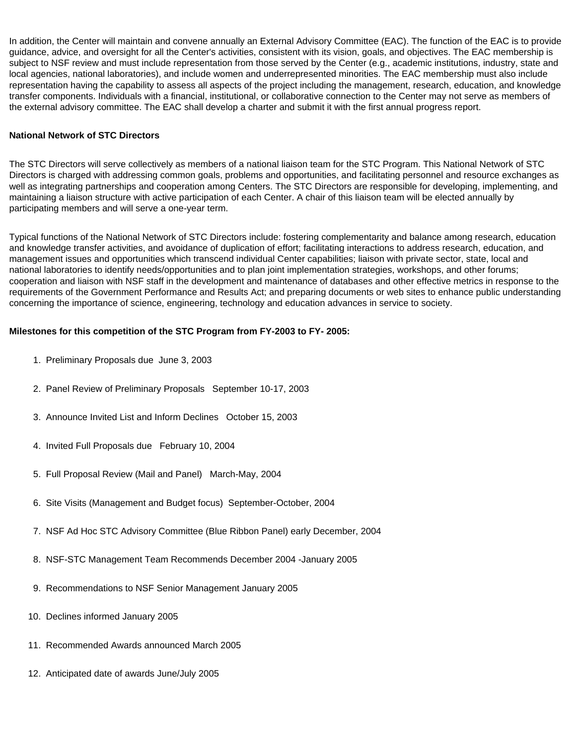In addition, the Center will maintain and convene annually an External Advisory Committee (EAC). The function of the EAC is to provide guidance, advice, and oversight for all the Center's activities, consistent with its vision, goals, and objectives. The EAC membership is subject to NSF review and must include representation from those served by the Center (e.g., academic institutions, industry, state and local agencies, national laboratories), and include women and underrepresented minorities. The EAC membership must also include representation having the capability to assess all aspects of the project including the management, research, education, and knowledge transfer components. Individuals with a financial, institutional, or collaborative connection to the Center may not serve as members of the external advisory committee. The EAC shall develop a charter and submit it with the first annual progress report.

## **National Network of STC Directors**

The STC Directors will serve collectively as members of a national liaison team for the STC Program. This National Network of STC Directors is charged with addressing common goals, problems and opportunities, and facilitating personnel and resource exchanges as well as integrating partnerships and cooperation among Centers. The STC Directors are responsible for developing, implementing, and maintaining a liaison structure with active participation of each Center. A chair of this liaison team will be elected annually by participating members and will serve a one-year term.

Typical functions of the National Network of STC Directors include: fostering complementarity and balance among research, education and knowledge transfer activities, and avoidance of duplication of effort; facilitating interactions to address research, education, and management issues and opportunities which transcend individual Center capabilities; liaison with private sector, state, local and national laboratories to identify needs/opportunities and to plan joint implementation strategies, workshops, and other forums; cooperation and liaison with NSF staff in the development and maintenance of databases and other effective metrics in response to the requirements of the Government Performance and Results Act; and preparing documents or web sites to enhance public understanding concerning the importance of science, engineering, technology and education advances in service to society.

## **Milestones for this competition of the STC Program from FY-2003 to FY- 2005:**

- 1. Preliminary Proposals due June 3, 2003
- 2. Panel Review of Preliminary Proposals September 10-17, 2003
- 3. Announce Invited List and Inform Declines October 15, 2003
- 4. Invited Full Proposals due February 10, 2004
- 5. Full Proposal Review (Mail and Panel) March-May, 2004
- 6. Site Visits (Management and Budget focus) September-October, 2004
- 7. NSF Ad Hoc STC Advisory Committee (Blue Ribbon Panel) early December, 2004
- 8. NSF-STC Management Team Recommends December 2004 -January 2005
- 9. Recommendations to NSF Senior Management January 2005
- 10. Declines informed January 2005
- 11. Recommended Awards announced March 2005
- <span id="page-6-0"></span>12. Anticipated date of awards June/July 2005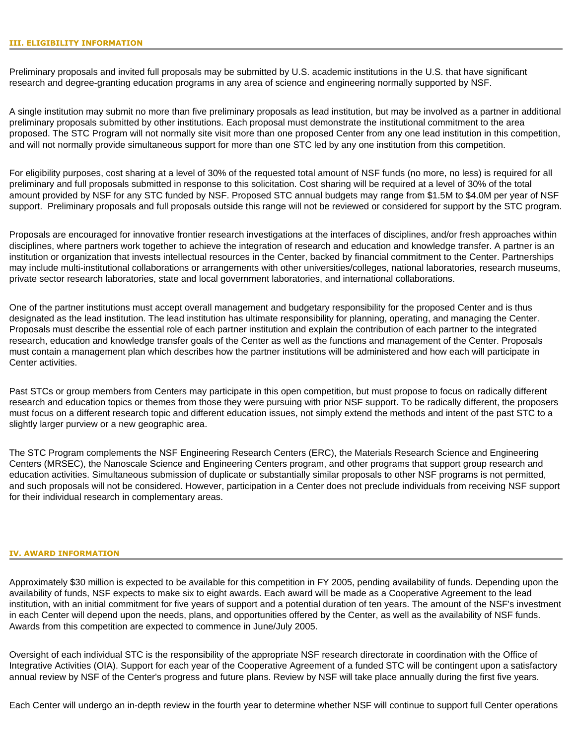Preliminary proposals and invited full proposals may be submitted by U.S. academic institutions in the U.S. that have significant research and degree-granting education programs in any area of science and engineering normally supported by NSF.

A single institution may submit no more than five preliminary proposals as lead institution, but may be involved as a partner in additional preliminary proposals submitted by other institutions. Each proposal must demonstrate the institutional commitment to the area proposed. The STC Program will not normally site visit more than one proposed Center from any one lead institution in this competition, and will not normally provide simultaneous support for more than one STC led by any one institution from this competition.

For eligibility purposes, cost sharing at a level of 30% of the requested total amount of NSF funds (no more, no less) is required for all preliminary and full proposals submitted in response to this solicitation. Cost sharing will be required at a level of 30% of the total amount provided by NSF for any STC funded by NSF. Proposed STC annual budgets may range from \$1.5M to \$4.0M per year of NSF support. Preliminary proposals and full proposals outside this range will not be reviewed or considered for support by the STC program.

Proposals are encouraged for innovative frontier research investigations at the interfaces of disciplines, and/or fresh approaches within disciplines, where partners work together to achieve the integration of research and education and knowledge transfer. A partner is an institution or organization that invests intellectual resources in the Center, backed by financial commitment to the Center. Partnerships may include multi-institutional collaborations or arrangements with other universities/colleges, national laboratories, research museums, private sector research laboratories, state and local government laboratories, and international collaborations.

One of the partner institutions must accept overall management and budgetary responsibility for the proposed Center and is thus designated as the lead institution. The lead institution has ultimate responsibility for planning, operating, and managing the Center. Proposals must describe the essential role of each partner institution and explain the contribution of each partner to the integrated research, education and knowledge transfer goals of the Center as well as the functions and management of the Center. Proposals must contain a management plan which describes how the partner institutions will be administered and how each will participate in Center activities.

Past STCs or group members from Centers may participate in this open competition, but must propose to focus on radically different research and education topics or themes from those they were pursuing with prior NSF support. To be radically different, the proposers must focus on a different research topic and different education issues, not simply extend the methods and intent of the past STC to a slightly larger purview or a new geographic area.

The STC Program complements the NSF Engineering Research Centers (ERC), the Materials Research Science and Engineering Centers (MRSEC), the Nanoscale Science and Engineering Centers program, and other programs that support group research and education activities. Simultaneous submission of duplicate or substantially similar proposals to other NSF programs is not permitted, and such proposals will not be considered. However, participation in a Center does not preclude individuals from receiving NSF support for their individual research in complementary areas.

#### <span id="page-7-0"></span>**IV. AWARD INFORMATION**

Approximately \$30 million is expected to be available for this competition in FY 2005, pending availability of funds. Depending upon the availability of funds, NSF expects to make six to eight awards. Each award will be made as a Cooperative Agreement to the lead institution, with an initial commitment for five years of support and a potential duration of ten years. The amount of the NSF's investment in each Center will depend upon the needs, plans, and opportunities offered by the Center, as well as the availability of NSF funds. Awards from this competition are expected to commence in June/July 2005.

Oversight of each individual STC is the responsibility of the appropriate NSF research directorate in coordination with the Office of Integrative Activities (OIA). Support for each year of the Cooperative Agreement of a funded STC will be contingent upon a satisfactory annual review by NSF of the Center's progress and future plans. Review by NSF will take place annually during the first five years.

Each Center will undergo an in-depth review in the fourth year to determine whether NSF will continue to support full Center operations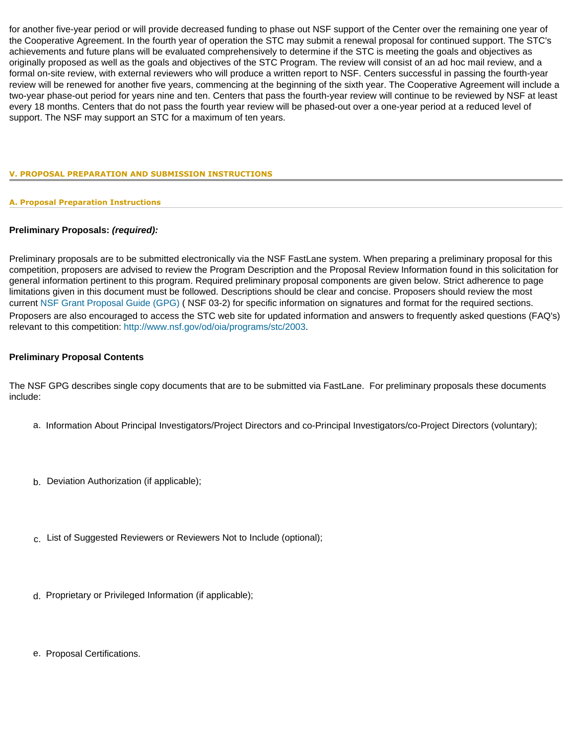for another five-year period or will provide decreased funding to phase out NSF support of the Center over the remaining one year of the Cooperative Agreement. In the fourth year of operation the STC may submit a renewal proposal for continued support. The STC's achievements and future plans will be evaluated comprehensively to determine if the STC is meeting the goals and objectives as originally proposed as well as the goals and objectives of the STC Program. The review will consist of an ad hoc mail review, and a formal on-site review, with external reviewers who will produce a written report to NSF. Centers successful in passing the fourth-year review will be renewed for another five years, commencing at the beginning of the sixth year. The Cooperative Agreement will include a two-year phase-out period for years nine and ten. Centers that pass the fourth-year review will continue to be reviewed by NSF at least every 18 months. Centers that do not pass the fourth year review will be phased-out over a one-year period at a reduced level of support. The NSF may support an STC for a maximum of ten years.

## <span id="page-8-0"></span>**V. PROPOSAL PREPARATION AND SUBMISSION INSTRUCTIONS**

### **A. Proposal Preparation Instructions**

## **Preliminary Proposals:** *(required):*

Preliminary proposals are to be submitted electronically via the NSF FastLane system. When preparing a preliminary proposal for this competition, proposers are advised to review the Program Description and the Proposal Review Information found in this solicitation for general information pertinent to this program. Required preliminary proposal components are given below. Strict adherence to page limitations given in this document must be followed. Descriptions should be clear and concise. Proposers should review the most current [NSF Grant Proposal Guide \(GPG\)](http://www.nsf.gov/cgi-bin/getpub?gpg) ( NSF 03-2) for specific information on signatures and format for the required sections. Proposers are also encouraged to access the STC web site for updated information and answers to frequently asked questions (FAQ's) relevant to this competition: [http://www.nsf.gov/od/oia/programs/stc/2003.](http://www.nsf.gov/od/oia/programs/stc.2003)

## **Preliminary Proposal Contents**

The NSF GPG describes single copy documents that are to be submitted via FastLane. For preliminary proposals these documents include:

- a. Information About Principal Investigators/Project Directors and co-Principal Investigators/co-Project Directors (voluntary);
- b. Deviation Authorization (if applicable);
- c. List of Suggested Reviewers or Reviewers Not to Include (optional);
- d. Proprietary or Privileged Information (if applicable);

e. Proposal Certifications.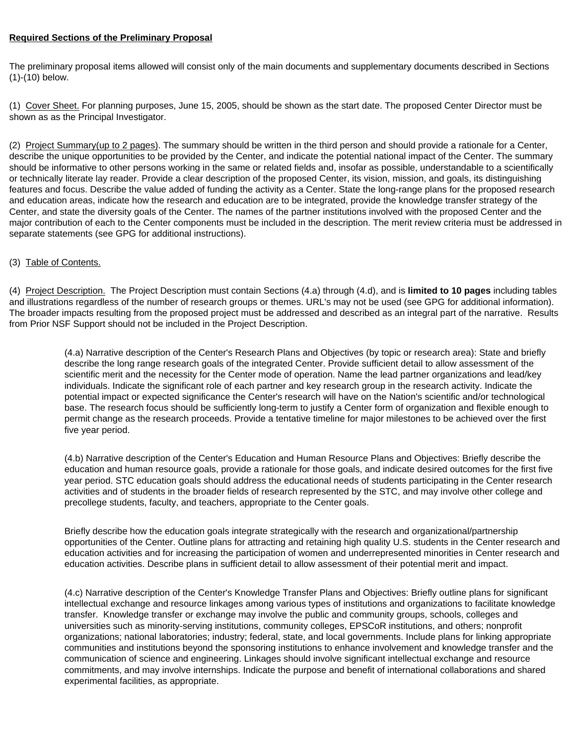## **Required Sections of the Preliminary Proposal**

The preliminary proposal items allowed will consist only of the main documents and supplementary documents described in Sections (1)-(10) below.

(1) Cover Sheet. For planning purposes, June 15, 2005, should be shown as the start date. The proposed Center Director must be shown as as the Principal Investigator.

(2) Project Summary(up to 2 pages). The summary should be written in the third person and should provide a rationale for a Center, describe the unique opportunities to be provided by the Center, and indicate the potential national impact of the Center. The summary should be informative to other persons working in the same or related fields and, insofar as possible, understandable to a scientifically or technically literate lay reader. Provide a clear description of the proposed Center, its vision, mission, and goals, its distinguishing features and focus. Describe the value added of funding the activity as a Center. State the long-range plans for the proposed research and education areas, indicate how the research and education are to be integrated, provide the knowledge transfer strategy of the Center, and state the diversity goals of the Center. The names of the partner institutions involved with the proposed Center and the major contribution of each to the Center components must be included in the description. The merit review criteria must be addressed in separate statements (see GPG for additional instructions).

# (3) Table of Contents.

(4) Project Description. The Project Description must contain Sections (4.a) through (4.d), and is **limited to 10 pages** including tables and illustrations regardless of the number of research groups or themes. URL's may not be used (see GPG for additional information). The broader impacts resulting from the proposed project must be addressed and described as an integral part of the narrative. Results from Prior NSF Support should not be included in the Project Description.

(4.a) Narrative description of the Center's Research Plans and Objectives (by topic or research area): State and briefly describe the long range research goals of the integrated Center. Provide sufficient detail to allow assessment of the scientific merit and the necessity for the Center mode of operation. Name the lead partner organizations and lead/key individuals. Indicate the significant role of each partner and key research group in the research activity. Indicate the potential impact or expected significance the Center's research will have on the Nation's scientific and/or technological base. The research focus should be sufficiently long-term to justify a Center form of organization and flexible enough to permit change as the research proceeds. Provide a tentative timeline for major milestones to be achieved over the first five year period.

(4.b) Narrative description of the Center's Education and Human Resource Plans and Objectives: Briefly describe the education and human resource goals, provide a rationale for those goals, and indicate desired outcomes for the first five year period. STC education goals should address the educational needs of students participating in the Center research activities and of students in the broader fields of research represented by the STC, and may involve other college and precollege students, faculty, and teachers, appropriate to the Center goals.

Briefly describe how the education goals integrate strategically with the research and organizational/partnership opportunities of the Center. Outline plans for attracting and retaining high quality U.S. students in the Center research and education activities and for increasing the participation of women and underrepresented minorities in Center research and education activities. Describe plans in sufficient detail to allow assessment of their potential merit and impact.

(4.c) Narrative description of the Center's Knowledge Transfer Plans and Objectives: Briefly outline plans for significant intellectual exchange and resource linkages among various types of institutions and organizations to facilitate knowledge transfer. Knowledge transfer or exchange may involve the public and community groups, schools, colleges and universities such as minority-serving institutions, community colleges, EPSCoR institutions, and others; nonprofit organizations; national laboratories; industry; federal, state, and local governments. Include plans for linking appropriate communities and institutions beyond the sponsoring institutions to enhance involvement and knowledge transfer and the communication of science and engineering. Linkages should involve significant intellectual exchange and resource commitments, and may involve internships. Indicate the purpose and benefit of international collaborations and shared experimental facilities, as appropriate.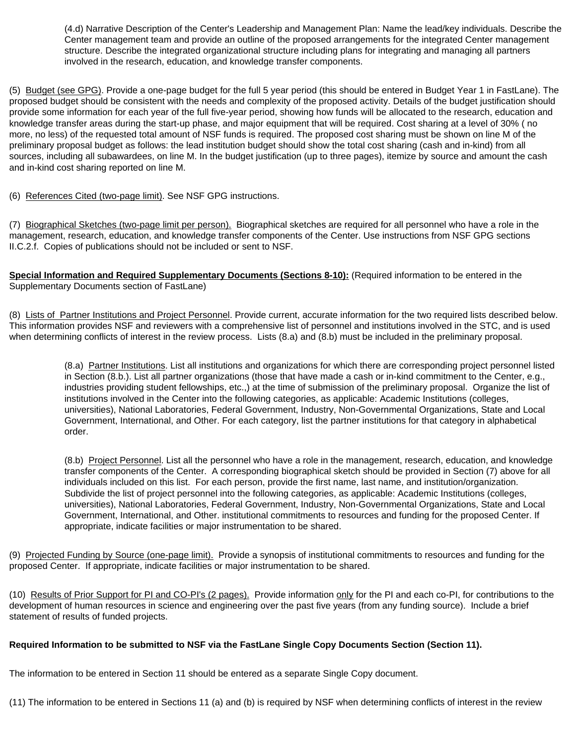(4.d) Narrative Description of the Center's Leadership and Management Plan: Name the lead/key individuals. Describe the Center management team and provide an outline of the proposed arrangements for the integrated Center management structure. Describe the integrated organizational structure including plans for integrating and managing all partners involved in the research, education, and knowledge transfer components.

(5) Budget (see GPG). Provide a one-page budget for the full 5 year period (this should be entered in Budget Year 1 in FastLane). The proposed budget should be consistent with the needs and complexity of the proposed activity. Details of the budget justification should provide some information for each year of the full five-year period, showing how funds will be allocated to the research, education and knowledge transfer areas during the start-up phase, and major equipment that will be required. Cost sharing at a level of 30% ( no more, no less) of the requested total amount of NSF funds is required. The proposed cost sharing must be shown on line M of the preliminary proposal budget as follows: the lead institution budget should show the total cost sharing (cash and in-kind) from all sources, including all subawardees, on line M. In the budget justification (up to three pages), itemize by source and amount the cash and in-kind cost sharing reported on line M.

(6) References Cited (two-page limit). See NSF GPG instructions.

(7) Biographical Sketches (two-page limit per person). Biographical sketches are required for all personnel who have a role in the management, research, education, and knowledge transfer components of the Center. Use instructions from NSF GPG sections II.C.2.f. Copies of publications should not be included or sent to NSF.

**Special Information and Required Supplementary Documents (Sections 8-10):** (Required information to be entered in the Supplementary Documents section of FastLane)

(8) Lists of Partner Institutions and Project Personnel. Provide current, accurate information for the two required lists described below. This information provides NSF and reviewers with a comprehensive list of personnel and institutions involved in the STC, and is used when determining conflicts of interest in the review process. Lists (8.a) and (8.b) must be included in the preliminary proposal.

(8.a) Partner Institutions. List all institutions and organizations for which there are corresponding project personnel listed in Section (8.b.). List all partner organizations (those that have made a cash or in-kind commitment to the Center, e.g., industries providing student fellowships, etc.,) at the time of submission of the preliminary proposal. Organize the list of institutions involved in the Center into the following categories, as applicable: Academic Institutions (colleges, universities), National Laboratories, Federal Government, Industry, Non-Governmental Organizations, State and Local Government, International, and Other. For each category, list the partner institutions for that category in alphabetical order.

(8.b) Project Personnel. List all the personnel who have a role in the management, research, education, and knowledge transfer components of the Center. A corresponding biographical sketch should be provided in Section (7) above for all individuals included on this list. For each person, provide the first name, last name, and institution/organization. Subdivide the list of project personnel into the following categories, as applicable: Academic Institutions (colleges, universities), National Laboratories, Federal Government, Industry, Non-Governmental Organizations, State and Local Government, International, and Other. institutional commitments to resources and funding for the proposed Center. If appropriate, indicate facilities or major instrumentation to be shared.

(9) Projected Funding by Source (one-page limit). Provide a synopsis of institutional commitments to resources and funding for the proposed Center. If appropriate, indicate facilities or major instrumentation to be shared.

(10) Results of Prior Support for PI and CO-PI's (2 pages). Provide information only for the PI and each co-PI, for contributions to the development of human resources in science and engineering over the past five years (from any funding source). Include a brief statement of results of funded projects.

## **Required Information to be submitted to NSF via the FastLane Single Copy Documents Section (Section 11).**

The information to be entered in Section 11 should be entered as a separate Single Copy document.

(11) The information to be entered in Sections 11 (a) and (b) is required by NSF when determining conflicts of interest in the review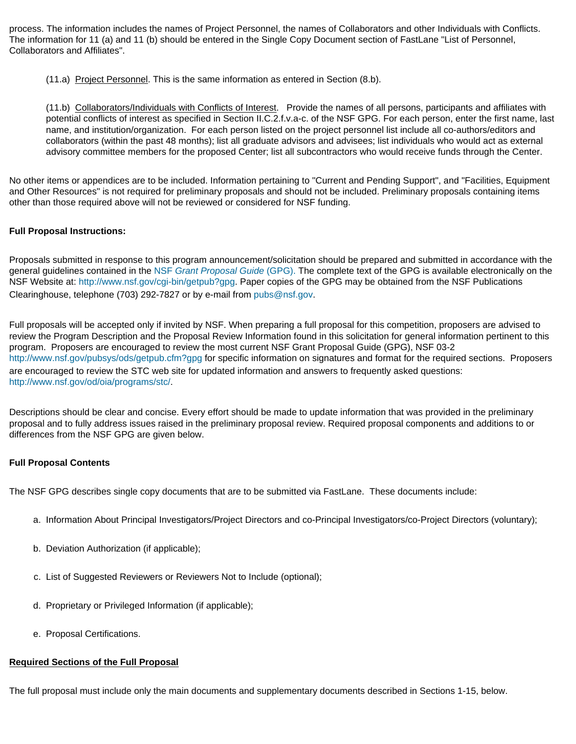process. The information includes the names of Project Personnel, the names of Collaborators and other Individuals with Conflicts. The information for 11 (a) and 11 (b) should be entered in the Single Copy Document section of FastLane "List of Personnel, Collaborators and Affiliates".

(11.a) Project Personnel. This is the same information as entered in Section (8.b).

(11.b) Collaborators/Individuals with Conflicts of Interest. Provide the names of all persons, participants and affiliates with potential conflicts of interest as specified in Section II.C.2.f.v.a-c. of the NSF GPG. For each person, enter the first name, last name, and institution/organization. For each person listed on the project personnel list include all co-authors/editors and collaborators (within the past 48 months); list all graduate advisors and advisees; list individuals who would act as external advisory committee members for the proposed Center; list all subcontractors who would receive funds through the Center.

No other items or appendices are to be included. Information pertaining to "Current and Pending Support", and "Facilities, Equipment and Other Resources" is not required for preliminary proposals and should not be included. Preliminary proposals containing items other than those required above will not be reviewed or considered for NSF funding.

## **Full Proposal Instructions:**

Proposals submitted in response to this program announcement/solicitation should be prepared and submitted in accordance with the general guidelines contained in the NSF *Grant Proposal Guide* (GPG). The complete text of the GPG is available electronically on the NSF Website at: [http://www.nsf.gov/cgi-bin/getpub?gpg. Paper copies](http://www.nsf.gov/cgi-bin/getpub?gpg) of the GPG may be obtained from the NSF Publications Clearinghouse, telephone (703) 292-7827 or by e-mail from [pubs@nsf.gov.](mailto:pubs@nsf.gov)

Full proposals will be accepted only if invited by NSF. When preparing a full proposal for this competition, proposers are advised to review the Program Description and the Proposal Review Information found in this solicitation for general information pertinent to this program. Proposers are encouraged to review the most current NSF Grant Proposal Guide (GPG), NSF 03-2 <http://www.nsf.gov/pubsys/ods/getpub.cfm?gpg>for specific information on signatures and format for the required sections. Proposers are encouraged to review the STC web site for updated information and answers to frequently asked questions: <http://www.nsf.gov/od/oia/programs/stc/>.

Descriptions should be clear and concise. Every effort should be made to update information that was provided in the preliminary proposal and to fully address issues raised in the preliminary proposal review. Required proposal components and additions to or differences from the NSF GPG are given below.

# **Full Proposal Contents**

The NSF GPG describes single copy documents that are to be submitted via FastLane. These documents include:

- a. Information About Principal Investigators/Project Directors and co-Principal Investigators/co-Project Directors (voluntary);
- b. Deviation Authorization (if applicable);
- c. List of Suggested Reviewers or Reviewers Not to Include (optional);
- d. Proprietary or Privileged Information (if applicable);
- e. Proposal Certifications.

# **Required Sections of the Full Proposal**

The full proposal must include only the main documents and supplementary documents described in Sections 1-15, below.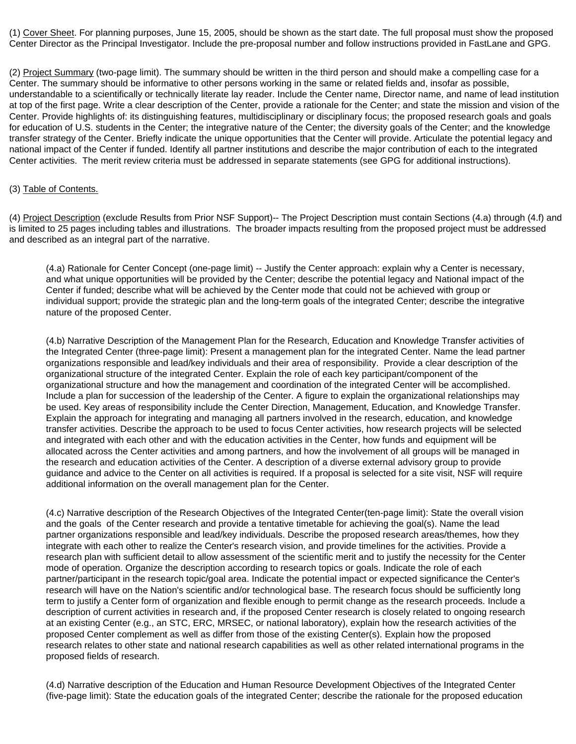(1) Cover Sheet. For planning purposes, June 15, 2005, should be shown as the start date. The full proposal must show the proposed Center Director as the Principal Investigator. Include the pre-proposal number and follow instructions provided in FastLane and GPG.

(2) Project Summary (two-page limit). The summary should be written in the third person and should make a compelling case for a Center. The summary should be informative to other persons working in the same or related fields and, insofar as possible, understandable to a scientifically or technically literate lay reader. Include the Center name, Director name, and name of lead institution at top of the first page. Write a clear description of the Center, provide a rationale for the Center; and state the mission and vision of the Center. Provide highlights of: its distinguishing features, multidisciplinary or disciplinary focus; the proposed research goals and goals for education of U.S. students in the Center; the integrative nature of the Center; the diversity goals of the Center; and the knowledge transfer strategy of the Center. Briefly indicate the unique opportunities that the Center will provide. Articulate the potential legacy and national impact of the Center if funded. Identify all partner institutions and describe the major contribution of each to the integrated Center activities. The merit review criteria must be addressed in separate statements (see GPG for additional instructions).

# (3) Table of Contents.

(4) Project Description (exclude Results from Prior NSF Support)-- The Project Description must contain Sections (4.a) through (4.f) and is limited to 25 pages including tables and illustrations. The broader impacts resulting from the proposed project must be addressed and described as an integral part of the narrative.

(4.a) Rationale for Center Concept (one-page limit) -- Justify the Center approach: explain why a Center is necessary, and what unique opportunities will be provided by the Center; describe the potential legacy and National impact of the Center if funded; describe what will be achieved by the Center mode that could not be achieved with group or individual support; provide the strategic plan and the long-term goals of the integrated Center; describe the integrative nature of the proposed Center.

(4.b) Narrative Description of the Management Plan for the Research, Education and Knowledge Transfer activities of the Integrated Center (three-page limit): Present a management plan for the integrated Center. Name the lead partner organizations responsible and lead/key individuals and their area of responsibility. Provide a clear description of the organizational structure of the integrated Center. Explain the role of each key participant/component of the organizational structure and how the management and coordination of the integrated Center will be accomplished. Include a plan for succession of the leadership of the Center. A figure to explain the organizational relationships may be used. Key areas of responsibility include the Center Direction, Management, Education, and Knowledge Transfer. Explain the approach for integrating and managing all partners involved in the research, education, and knowledge transfer activities. Describe the approach to be used to focus Center activities, how research projects will be selected and integrated with each other and with the education activities in the Center, how funds and equipment will be allocated across the Center activities and among partners, and how the involvement of all groups will be managed in the research and education activities of the Center. A description of a diverse external advisory group to provide guidance and advice to the Center on all activities is required. If a proposal is selected for a site visit, NSF will require additional information on the overall management plan for the Center.

(4.c) Narrative description of the Research Objectives of the Integrated Center(ten-page limit): State the overall vision and the goals of the Center research and provide a tentative timetable for achieving the goal(s). Name the lead partner organizations responsible and lead/key individuals. Describe the proposed research areas/themes, how they integrate with each other to realize the Center's research vision, and provide timelines for the activities. Provide a research plan with sufficient detail to allow assessment of the scientific merit and to justify the necessity for the Center mode of operation. Organize the description according to research topics or goals. Indicate the role of each partner/participant in the research topic/goal area. Indicate the potential impact or expected significance the Center's research will have on the Nation's scientific and/or technological base. The research focus should be sufficiently long term to justify a Center form of organization and flexible enough to permit change as the research proceeds. Include a description of current activities in research and, if the proposed Center research is closely related to ongoing research at an existing Center (e.g., an STC, ERC, MRSEC, or national laboratory), explain how the research activities of the proposed Center complement as well as differ from those of the existing Center(s). Explain how the proposed research relates to other state and national research capabilities as well as other related international programs in the proposed fields of research.

(4.d) Narrative description of the Education and Human Resource Development Objectives of the Integrated Center (five-page limit): State the education goals of the integrated Center; describe the rationale for the proposed education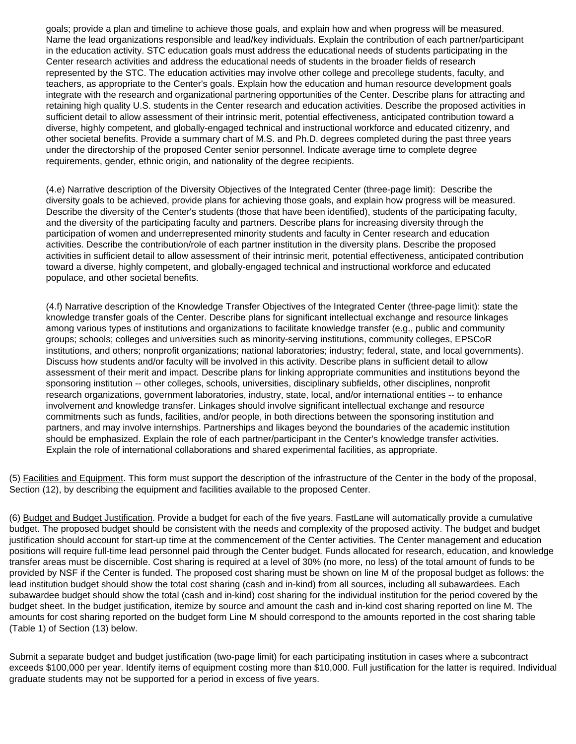goals; provide a plan and timeline to achieve those goals, and explain how and when progress will be measured. Name the lead organizations responsible and lead/key individuals. Explain the contribution of each partner/participant in the education activity. STC education goals must address the educational needs of students participating in the Center research activities and address the educational needs of students in the broader fields of research represented by the STC. The education activities may involve other college and precollege students, faculty, and teachers, as appropriate to the Center's goals. Explain how the education and human resource development goals integrate with the research and organizational partnering opportunities of the Center. Describe plans for attracting and retaining high quality U.S. students in the Center research and education activities. Describe the proposed activities in sufficient detail to allow assessment of their intrinsic merit, potential effectiveness, anticipated contribution toward a diverse, highly competent, and globally-engaged technical and instructional workforce and educated citizenry, and other societal benefits. Provide a summary chart of M.S. and Ph.D. degrees completed during the past three years under the directorship of the proposed Center senior personnel. Indicate average time to complete degree requirements, gender, ethnic origin, and nationality of the degree recipients.

(4.e) Narrative description of the Diversity Objectives of the Integrated Center (three-page limit): Describe the diversity goals to be achieved, provide plans for achieving those goals, and explain how progress will be measured. Describe the diversity of the Center's students (those that have been identified), students of the participating faculty, and the diversity of the participating faculty and partners. Describe plans for increasing diversity through the participation of women and underrepresented minority students and faculty in Center research and education activities. Describe the contribution/role of each partner institution in the diversity plans. Describe the proposed activities in sufficient detail to allow assessment of their intrinsic merit, potential effectiveness, anticipated contribution toward a diverse, highly competent, and globally-engaged technical and instructional workforce and educated populace, and other societal benefits.

(4.f) Narrative description of the Knowledge Transfer Objectives of the Integrated Center (three-page limit): state the knowledge transfer goals of the Center. Describe plans for significant intellectual exchange and resource linkages among various types of institutions and organizations to facilitate knowledge transfer (e.g., public and community groups; schools; colleges and universities such as minority-serving institutions, community colleges, EPSCoR institutions, and others; nonprofit organizations; national laboratories; industry; federal, state, and local governments). Discuss how students and/or faculty will be involved in this activity. Describe plans in sufficient detail to allow assessment of their merit and impact. Describe plans for linking appropriate communities and institutions beyond the sponsoring institution -- other colleges, schools, universities, disciplinary subfields, other disciplines, nonprofit research organizations, government laboratories, industry, state, local, and/or international entities -- to enhance involvement and knowledge transfer. Linkages should involve significant intellectual exchange and resource commitments such as funds, facilities, and/or people, in both directions between the sponsoring institution and partners, and may involve internships. Partnerships and likages beyond the boundaries of the academic institution should be emphasized. Explain the role of each partner/participant in the Center's knowledge transfer activities. Explain the role of international collaborations and shared experimental facilities, as appropriate.

(5) Facilities and Equipment. This form must support the description of the infrastructure of the Center in the body of the proposal, Section (12), by describing the equipment and facilities available to the proposed Center.

(6) Budget and Budget Justification. Provide a budget for each of the five years. FastLane will automatically provide a cumulative budget. The proposed budget should be consistent with the needs and complexity of the proposed activity. The budget and budget justification should account for start-up time at the commencement of the Center activities. The Center management and education positions will require full-time lead personnel paid through the Center budget. Funds allocated for research, education, and knowledge transfer areas must be discernible. Cost sharing is required at a level of 30% (no more, no less) of the total amount of funds to be provided by NSF if the Center is funded. The proposed cost sharing must be shown on line M of the proposal budget as follows: the lead institution budget should show the total cost sharing (cash and in-kind) from all sources, including all subawardees. Each subawardee budget should show the total (cash and in-kind) cost sharing for the individual institution for the period covered by the budget sheet. In the budget justification, itemize by source and amount the cash and in-kind cost sharing reported on line M. The amounts for cost sharing reported on the budget form Line M should correspond to the amounts reported in the cost sharing table (Table 1) of Section (13) below.

Submit a separate budget and budget justification (two-page limit) for each participating institution in cases where a subcontract exceeds \$100,000 per year. Identify items of equipment costing more than \$10,000. Full justification for the latter is required. Individual graduate students may not be supported for a period in excess of five years.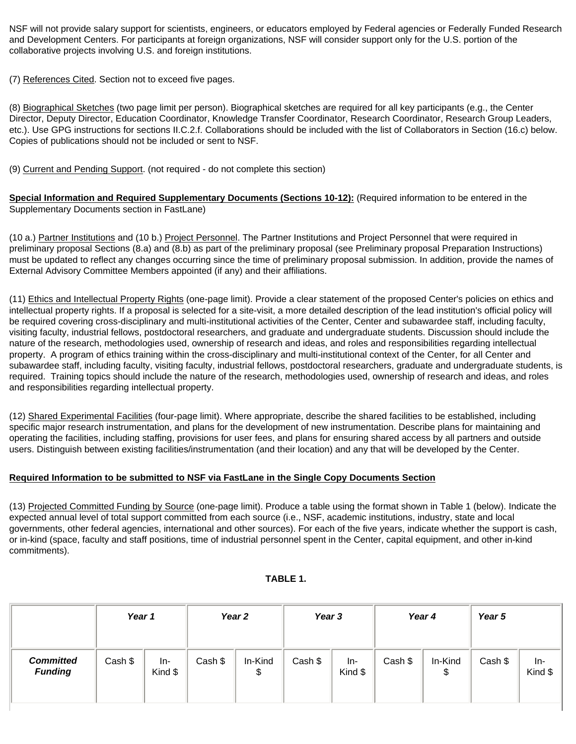NSF will not provide salary support for scientists, engineers, or educators employed by Federal agencies or Federally Funded Research and Development Centers. For participants at foreign organizations, NSF will consider support only for the U.S. portion of the collaborative projects involving U.S. and foreign institutions.

(7) References Cited. Section not to exceed five pages.

(8) Biographical Sketches (two page limit per person). Biographical sketches are required for all key participants (e.g., the Center Director, Deputy Director, Education Coordinator, Knowledge Transfer Coordinator, Research Coordinator, Research Group Leaders, etc.). Use GPG instructions for sections II.C.2.f. Collaborations should be included with the list of Collaborators in Section (16.c) below. Copies of publications should not be included or sent to NSF.

(9) Current and Pending Support. (not required - do not complete this section)

**Special Information and Required Supplementary Documents (Sections 10-12):** (Required information to be entered in the Supplementary Documents section in FastLane)

(10 a.) Partner Institutions and (10 b.) Project Personnel. The Partner Institutions and Project Personnel that were required in preliminary proposal Sections (8.a) and (8.b) as part of the preliminary proposal (see Preliminary proposal Preparation Instructions) must be updated to reflect any changes occurring since the time of preliminary proposal submission. In addition, provide the names of External Advisory Committee Members appointed (if any) and their affiliations.

(11) Ethics and Intellectual Property Rights (one-page limit). Provide a clear statement of the proposed Center's policies on ethics and intellectual property rights. If a proposal is selected for a site-visit, a more detailed description of the lead institution's official policy will be required covering cross-disciplinary and multi-institutional activities of the Center, Center and subawardee staff, including faculty, visiting faculty, industrial fellows, postdoctoral researchers, and graduate and undergraduate students. Discussion should include the nature of the research, methodologies used, ownership of research and ideas, and roles and responsibilities regarding intellectual property. A program of ethics training within the cross-disciplinary and multi-institutional context of the Center, for all Center and subawardee staff, including faculty, visiting faculty, industrial fellows, postdoctoral researchers, graduate and undergraduate students, is required. Training topics should include the nature of the research, methodologies used, ownership of research and ideas, and roles and responsibilities regarding intellectual property.

(12) Shared Experimental Facilities (four-page limit). Where appropriate, describe the shared facilities to be established, including specific major research instrumentation, and plans for the development of new instrumentation. Describe plans for maintaining and operating the facilities, including staffing, provisions for user fees, and plans for ensuring shared access by all partners and outside users. Distinguish between existing facilities/instrumentation (and their location) and any that will be developed by the Center.

# **Required Information to be submitted to NSF via FastLane in the Single Copy Documents Section**

(13) Projected Committed Funding by Source (one-page limit). Produce a table using the format shown in Table 1 (below). Indicate the expected annual level of total support committed from each source (i.e., NSF, academic institutions, industry, state and local governments, other federal agencies, international and other sources). For each of the five years, indicate whether the support is cash, or in-kind (space, faculty and staff positions, time of industrial personnel spent in the Center, capital equipment, and other in-kind commitments).

|                                    |         | Year 1         |         | Year 2        |         | Year 3            |         | Year 4        |         | Year 5         |  |
|------------------------------------|---------|----------------|---------|---------------|---------|-------------------|---------|---------------|---------|----------------|--|
| <b>Committed</b><br><b>Funding</b> | Cash \$ | In-<br>Kind \$ | Cash \$ | In-Kind<br>\$ | Cash \$ | $In-$<br>Kind $$$ | Cash \$ | In-Kind<br>\$ | Cash \$ | ln-<br>Kind \$ |  |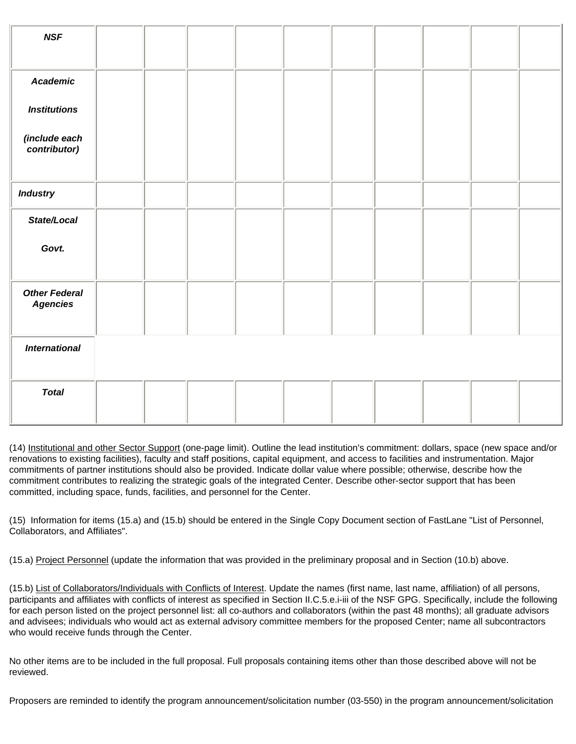| <b>NSF</b>                              |  |  |  |  |  |
|-----------------------------------------|--|--|--|--|--|
| <b>Academic</b>                         |  |  |  |  |  |
| <b>Institutions</b>                     |  |  |  |  |  |
| (include each<br>contributor)           |  |  |  |  |  |
| <b>Industry</b>                         |  |  |  |  |  |
| State/Local                             |  |  |  |  |  |
| Govt.                                   |  |  |  |  |  |
| <b>Other Federal</b><br><b>Agencies</b> |  |  |  |  |  |
| <b>International</b>                    |  |  |  |  |  |
| <b>Total</b>                            |  |  |  |  |  |

(14) Institutional and other Sector Support (one-page limit). Outline the lead institution's commitment: dollars, space (new space and/or renovations to existing facilities), faculty and staff positions, capital equipment, and access to facilities and instrumentation. Major commitments of partner institutions should also be provided. Indicate dollar value where possible; otherwise, describe how the commitment contributes to realizing the strategic goals of the integrated Center. Describe other-sector support that has been committed, including space, funds, facilities, and personnel for the Center.

(15) Information for items (15.a) and (15.b) should be entered in the Single Copy Document section of FastLane "List of Personnel, Collaborators, and Affiliates".

(15.a) Project Personnel (update the information that was provided in the preliminary proposal and in Section (10.b) above.

(15.b) List of Collaborators/Individuals with Conflicts of Interest. Update the names (first name, last name, affiliation) of all persons, participants and affiliates with conflicts of interest as specified in Section II.C.5.e.i-iii of the NSF GPG. Specifically, include the following for each person listed on the project personnel list: all co-authors and collaborators (within the past 48 months); all graduate advisors and advisees; individuals who would act as external advisory committee members for the proposed Center; name all subcontractors who would receive funds through the Center.

No other items are to be included in the full proposal. Full proposals containing items other than those described above will not be reviewed.

Proposers are reminded to identify the program announcement/solicitation number (03-550) in the program announcement/solicitation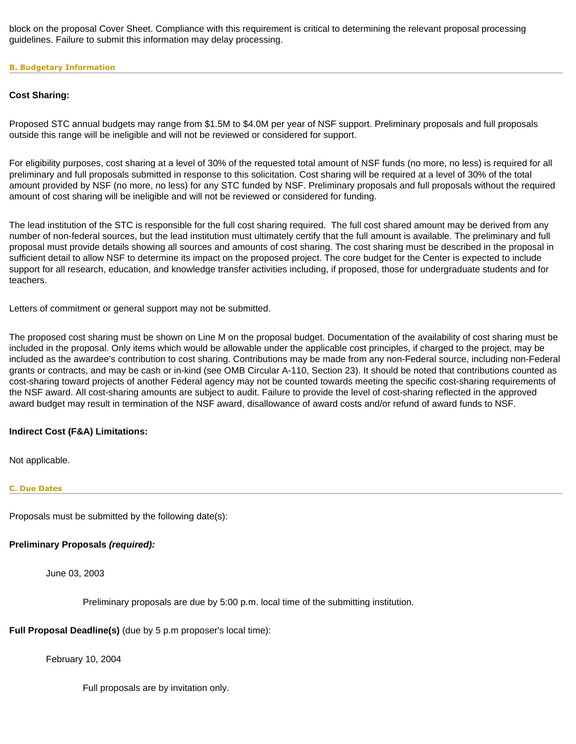<span id="page-16-0"></span>block on the proposal Cover Sheet. Compliance with this requirement is critical to determining the relevant proposal processing guidelines. Failure to submit this information may delay processing.

#### **B. Budgetary Information**

## **Cost Sharing:**

Proposed STC annual budgets may range from \$1.5M to \$4.0M per year of NSF support. Preliminary proposals and full proposals outside this range will be ineligible and will not be reviewed or considered for support.

For eligibility purposes, cost sharing at a level of 30% of the requested total amount of NSF funds (no more, no less) is required for all preliminary and full proposals submitted in response to this solicitation. Cost sharing will be required at a level of 30% of the total amount provided by NSF (no more, no less) for any STC funded by NSF. Preliminary proposals and full proposals without the required amount of cost sharing will be ineligible and will not be reviewed or considered for funding.

The lead institution of the STC is responsible for the full cost sharing required. The full cost shared amount may be derived from any number of non-federal sources, but the lead institution must ultimately certify that the full amount is available. The preliminary and full proposal must provide details showing all sources and amounts of cost sharing. The cost sharing must be described in the proposal in sufficient detail to allow NSF to determine its impact on the proposed project. The core budget for the Center is expected to include support for all research, education, and knowledge transfer activities including, if proposed, those for undergraduate students and for teachers.

Letters of commitment or general support may not be submitted.

The proposed cost sharing must be shown on Line M on the proposal budget. Documentation of the availability of cost sharing must be included in the proposal. Only items which would be allowable under the applicable cost principles, if charged to the project, may be included as the awardee's contribution to cost sharing. Contributions may be made from any non-Federal source, including non-Federal grants or contracts, and may be cash or in-kind (see OMB Circular A-110, Section 23). It should be noted that contributions counted as cost-sharing toward projects of another Federal agency may not be counted towards meeting the specific cost-sharing requirements of the NSF award. All cost-sharing amounts are subject to audit. Failure to provide the level of cost-sharing reflected in the approved award budget may result in termination of the NSF award, disallowance of award costs and/or refund of award funds to NSF.

#### **Indirect Cost (F&A) Limitations:**

<span id="page-16-1"></span>Not applicable.

#### **C. Due Dates**

Proposals must be submitted by the following date(s):

## **Preliminary Proposals** *(required):*

June 03, 2003

Preliminary proposals are due by 5:00 p.m. local time of the submitting institution.

**Full Proposal Deadline(s)** (due by 5 p.m proposer's local time):

February 10, 2004

Full proposals are by invitation only.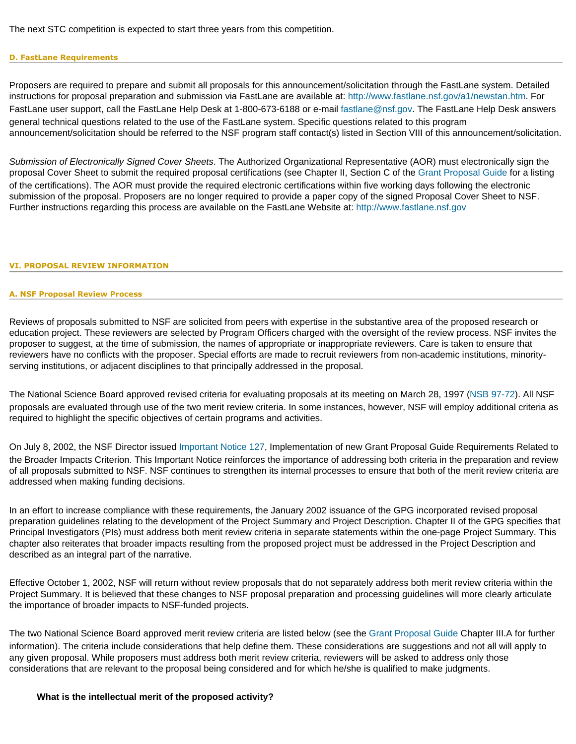<span id="page-17-0"></span>The next STC competition is expected to start three years from this competition.

#### **D. FastLane Requirements**

Proposers are required to prepare and submit all proposals for this announcement/solicitation through the FastLane system. Detailed instructions for proposal preparation and submission via FastLane are available at: [http://www.fastlane.nsf.gov/a1/newstan.htm.](http://www.fastlane.nsf.gov/a1/newstan.htm) For FastLane user support, call the FastLane Help Desk at 1-800-673-6188 or e-mail [fastlane@nsf.gov](mailto:fastlane@nsf.gov). The FastLane Help Desk answers general technical questions related to the use of the FastLane system. Specific questions related to this program announcement/solicitation should be referred to the NSF program staff contact(s) listed in Section VIII of this announcement/solicitation.

*Submission of Electronically Signed Cover Sheets*. The Authorized Organizational Representative (AOR) must electronically sign the proposal Cover Sheet to submit the required proposal certifications (see Chapter II, Section C of the [Grant Proposal Guide](http://www.nsf.gov/pubsys/ods/getpub.cfm?gpg) for a listing of the certifications). The AOR must provide the required electronic certifications within five working days following the electronic submission of the proposal. Proposers are no longer required to provide a paper copy of the signed Proposal Cover Sheet to NSF. Further instructions regarding this process are available on the FastLane Website at: [http://www.fastlane.nsf.gov](http://www.fastlane.nsf.gov/)

#### <span id="page-17-2"></span><span id="page-17-1"></span>**VI. PROPOSAL REVIEW INFORMATION**

#### **A. NSF Proposal Review Process**

Reviews of proposals submitted to NSF are solicited from peers with expertise in the substantive area of the proposed research or education project. These reviewers are selected by Program Officers charged with the oversight of the review process. NSF invites the proposer to suggest, at the time of submission, the names of appropriate or inappropriate reviewers. Care is taken to ensure that reviewers have no conflicts with the proposer. Special efforts are made to recruit reviewers from non-academic institutions, minorityserving institutions, or adjacent disciplines to that principally addressed in the proposal.

The National Science Board approved revised criteria for evaluating proposals at its meeting on March 28, 1997 ([NSB 97-72\)](http://www.nsf.gov/cgi-bin/getpub?nsb9772). All NSF proposals are evaluated through use of the two merit review criteria. In some instances, however, NSF will employ additional criteria as required to highlight the specific objectives of certain programs and activities.

On July 8, 2002, the NSF Director issued [Important Notice 127](http://www.nsf.gov/cgi-bin/getpub?iin127), Implementation of new Grant Proposal Guide Requirements Related to the Broader Impacts Criterion. This Important Notice reinforces the importance of addressing both criteria in the preparation and review of all proposals submitted to NSF. NSF continues to strengthen its internal processes to ensure that both of the merit review criteria are addressed when making funding decisions.

In an effort to increase compliance with these requirements, the January 2002 issuance of the GPG incorporated revised proposal preparation guidelines relating to the development of the Project Summary and Project Description. Chapter II of the GPG specifies that Principal Investigators (PIs) must address both merit review criteria in separate statements within the one-page Project Summary. This chapter also reiterates that broader impacts resulting from the proposed project must be addressed in the Project Description and described as an integral part of the narrative.

Effective October 1, 2002, NSF will return without review proposals that do not separately address both merit review criteria within the Project Summary. It is believed that these changes to NSF proposal preparation and processing guidelines will more clearly articulate the importance of broader impacts to NSF-funded projects.

The two National Science Board approved merit review criteria are listed below (see the [Grant Proposal Guide](http://www.nsf.gov/pubsys/ods/getpub.cfm?gpg) Chapter III.A for further information). The criteria include considerations that help define them. These considerations are suggestions and not all will apply to any given proposal. While proposers must address both merit review criteria, reviewers will be asked to address only those considerations that are relevant to the proposal being considered and for which he/she is qualified to make judgments.

### **What is the intellectual merit of the proposed activity?**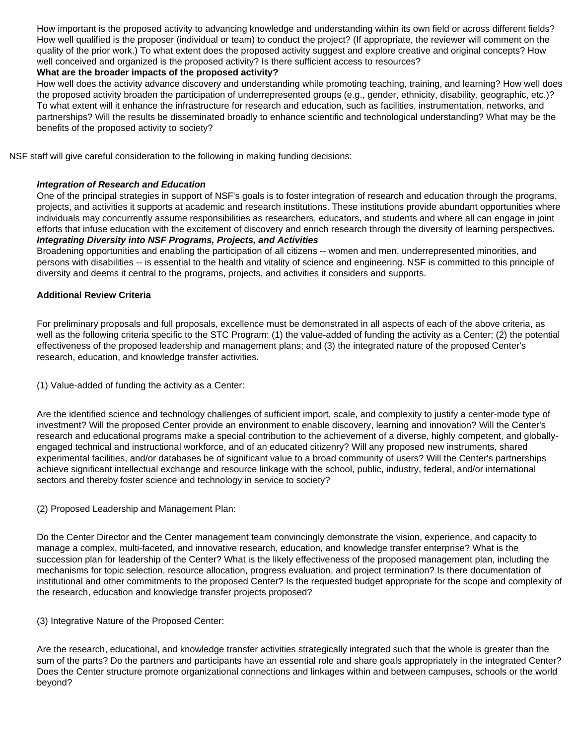How important is the proposed activity to advancing knowledge and understanding within its own field or across different fields? How well qualified is the proposer (individual or team) to conduct the project? (If appropriate, the reviewer will comment on the quality of the prior work.) To what extent does the proposed activity suggest and explore creative and original concepts? How well conceived and organized is the proposed activity? Is there sufficient access to resources?

# **What are the broader impacts of the proposed activity?**

How well does the activity advance discovery and understanding while promoting teaching, training, and learning? How well does the proposed activity broaden the participation of underrepresented groups (e.g., gender, ethnicity, disability, geographic, etc.)? To what extent will it enhance the infrastructure for research and education, such as facilities, instrumentation, networks, and partnerships? Will the results be disseminated broadly to enhance scientific and technological understanding? What may be the benefits of the proposed activity to society?

NSF staff will give careful consideration to the following in making funding decisions:

# *Integration of Research and Education*

One of the principal strategies in support of NSF's goals is to foster integration of research and education through the programs, projects, and activities it supports at academic and research institutions. These institutions provide abundant opportunities where individuals may concurrently assume responsibilities as researchers, educators, and students and where all can engage in joint efforts that infuse education with the excitement of discovery and enrich research through the diversity of learning perspectives. *Integrating Diversity into NSF Programs, Projects, and Activities*

Broadening opportunities and enabling the participation of all citizens -- women and men, underrepresented minorities, and persons with disabilities -- is essential to the health and vitality of science and engineering. NSF is committed to this principle of diversity and deems it central to the programs, projects, and activities it considers and supports.

# **Additional Review Criteria**

For preliminary proposals and full proposals, excellence must be demonstrated in all aspects of each of the above criteria, as well as the following criteria specific to the STC Program: (1) the value-added of funding the activity as a Center; (2) the potential effectiveness of the proposed leadership and management plans; and (3) the integrated nature of the proposed Center's research, education, and knowledge transfer activities.

(1) Value-added of funding the activity as a Center:

Are the identified science and technology challenges of sufficient import, scale, and complexity to justify a center-mode type of investment? Will the proposed Center provide an environment to enable discovery, learning and innovation? Will the Center's research and educational programs make a special contribution to the achievement of a diverse, highly competent, and globallyengaged technical and instructional workforce, and of an educated citizenry? Will any proposed new instruments, shared experimental facilities, and/or databases be of significant value to a broad community of users? Will the Center's partnerships achieve significant intellectual exchange and resource linkage with the school, public, industry, federal, and/or international sectors and thereby foster science and technology in service to society?

(2) Proposed Leadership and Management Plan:

Do the Center Director and the Center management team convincingly demonstrate the vision, experience, and capacity to manage a complex, multi-faceted, and innovative research, education, and knowledge transfer enterprise? What is the succession plan for leadership of the Center? What is the likely effectiveness of the proposed management plan, including the mechanisms for topic selection, resource allocation, progress evaluation, and project termination? Is there documentation of institutional and other commitments to the proposed Center? Is the requested budget appropriate for the scope and complexity of the research, education and knowledge transfer projects proposed?

(3) Integrative Nature of the Proposed Center:

Are the research, educational, and knowledge transfer activities strategically integrated such that the whole is greater than the sum of the parts? Do the partners and participants have an essential role and share goals appropriately in the integrated Center? Does the Center structure promote organizational connections and linkages within and between campuses, schools or the world beyond?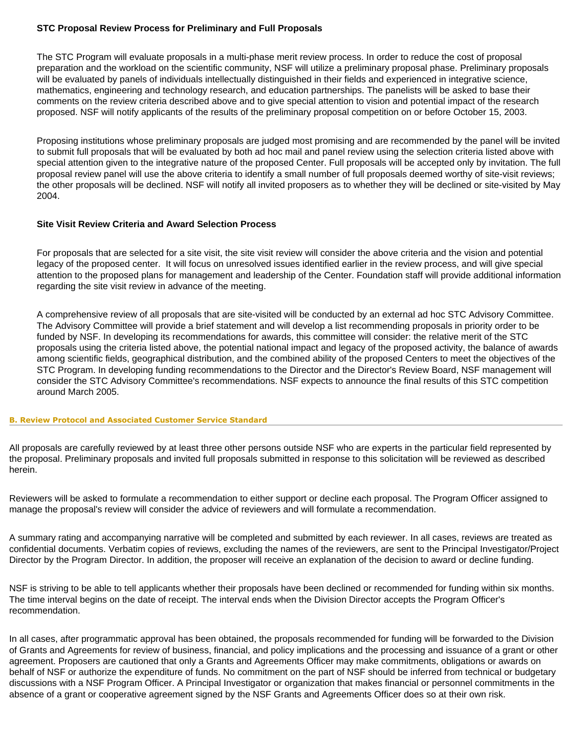# **STC Proposal Review Process for Preliminary and Full Proposals**

The STC Program will evaluate proposals in a multi-phase merit review process. In order to reduce the cost of proposal preparation and the workload on the scientific community, NSF will utilize a preliminary proposal phase. Preliminary proposals will be evaluated by panels of individuals intellectually distinguished in their fields and experienced in integrative science, mathematics, engineering and technology research, and education partnerships. The panelists will be asked to base their comments on the review criteria described above and to give special attention to vision and potential impact of the research proposed. NSF will notify applicants of the results of the preliminary proposal competition on or before October 15, 2003.

Proposing institutions whose preliminary proposals are judged most promising and are recommended by the panel will be invited to submit full proposals that will be evaluated by both ad hoc mail and panel review using the selection criteria listed above with special attention given to the integrative nature of the proposed Center. Full proposals will be accepted only by invitation. The full proposal review panel will use the above criteria to identify a small number of full proposals deemed worthy of site-visit reviews; the other proposals will be declined. NSF will notify all invited proposers as to whether they will be declined or site-visited by May 2004.

## **Site Visit Review Criteria and Award Selection Process**

For proposals that are selected for a site visit, the site visit review will consider the above criteria and the vision and potential legacy of the proposed center. It will focus on unresolved issues identified earlier in the review process, and will give special attention to the proposed plans for management and leadership of the Center. Foundation staff will provide additional information regarding the site visit review in advance of the meeting.

A comprehensive review of all proposals that are site-visited will be conducted by an external ad hoc STC Advisory Committee. The Advisory Committee will provide a brief statement and will develop a list recommending proposals in priority order to be funded by NSF. In developing its recommendations for awards, this committee will consider: the relative merit of the STC proposals using the criteria listed above, the potential national impact and legacy of the proposed activity, the balance of awards among scientific fields, geographical distribution, and the combined ability of the proposed Centers to meet the objectives of the STC Program. In developing funding recommendations to the Director and the Director's Review Board, NSF management will consider the STC Advisory Committee's recommendations. NSF expects to announce the final results of this STC competition around March 2005.

## <span id="page-19-0"></span>**B. Review Protocol and Associated Customer Service Standard**

All proposals are carefully reviewed by at least three other persons outside NSF who are experts in the particular field represented by the proposal. Preliminary proposals and invited full proposals submitted in response to this solicitation will be reviewed as described herein.

Reviewers will be asked to formulate a recommendation to either support or decline each proposal. The Program Officer assigned to manage the proposal's review will consider the advice of reviewers and will formulate a recommendation.

A summary rating and accompanying narrative will be completed and submitted by each reviewer. In all cases, reviews are treated as confidential documents. Verbatim copies of reviews, excluding the names of the reviewers, are sent to the Principal Investigator/Project Director by the Program Director. In addition, the proposer will receive an explanation of the decision to award or decline funding.

NSF is striving to be able to tell applicants whether their proposals have been declined or recommended for funding within six months. The time interval begins on the date of receipt. The interval ends when the Division Director accepts the Program Officer's recommendation.

<span id="page-19-1"></span>In all cases, after programmatic approval has been obtained, the proposals recommended for funding will be forwarded to the Division of Grants and Agreements for review of business, financial, and policy implications and the processing and issuance of a grant or other agreement. Proposers are cautioned that only a Grants and Agreements Officer may make commitments, obligations or awards on behalf of NSF or authorize the expenditure of funds. No commitment on the part of NSF should be inferred from technical or budgetary discussions with a NSF Program Officer. A Principal Investigator or organization that makes financial or personnel commitments in the absence of a grant or cooperative agreement signed by the NSF Grants and Agreements Officer does so at their own risk.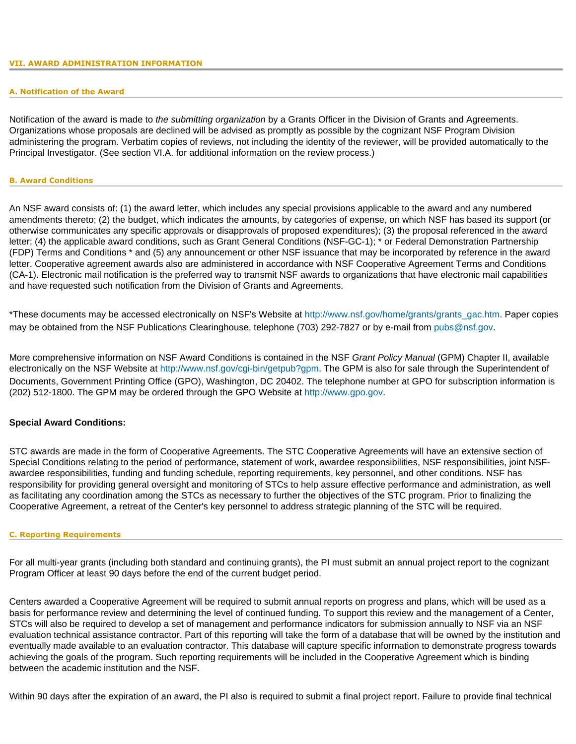<span id="page-20-0"></span>

|  | VII. AWARD ADMINISTRATION INFORMATION |  |
|--|---------------------------------------|--|
|--|---------------------------------------|--|

#### **A. Notification of the Award**

Notification of the award is made to *the submitting organization* by a Grants Officer in the Division of Grants and Agreements. Organizations whose proposals are declined will be advised as promptly as possible by the cognizant NSF Program Division administering the program. Verbatim copies of reviews, not including the identity of the reviewer, will be provided automatically to the Principal Investigator. (See section VI.A. for additional information on the review process.)

#### <span id="page-20-1"></span>**B. Award Conditions**

An NSF award consists of: (1) the award letter, which includes any special provisions applicable to the award and any numbered amendments thereto; (2) the budget, which indicates the amounts, by categories of expense, on which NSF has based its support (or otherwise communicates any specific approvals or disapprovals of proposed expenditures); (3) the proposal referenced in the award letter; (4) the applicable award conditions, such as Grant General Conditions (NSF-GC-1); \* or Federal Demonstration Partnership (FDP) Terms and Conditions \* and (5) any announcement or other NSF issuance that may be incorporated by reference in the award letter. Cooperative agreement awards also are administered in accordance with NSF Cooperative Agreement Terms and Conditions (CA-1). Electronic mail notification is the preferred way to transmit NSF awards to organizations that have electronic mail capabilities and have requested such notification from the Division of Grants and Agreements.

\*These documents may be accessed electronically on NSF's Website at [http://www.nsf.gov/home/grants/grants\\_gac.htm](http://www.nsf.gov/home/grants/grants_gac.htm). Paper copies may be obtained from the NSF Publications Clearinghouse, telephone (703) 292-7827 or by e-mail from [pubs@nsf.gov](mailto:pubs@nsf.gov).

More comprehensive information on NSF Award Conditions is contained in the NSF *Grant Policy Manual* (GPM) Chapter II, available electronically on the NSF Website at<http://www.nsf.gov/cgi-bin/getpub?gpm>. The GPM is also for sale through the Superintendent of Documents, Government Printing Office (GPO), Washington, DC 20402. The telephone number at GPO for subscription information is (202) 512-1800. The GPM may be ordered through the GPO Website at [http://www.gpo.gov](http://www.gpo.gov/).

#### **Special Award Conditions:**

STC awards are made in the form of Cooperative Agreements. The STC Cooperative Agreements will have an extensive section of Special Conditions relating to the period of performance, statement of work, awardee responsibilities, NSF responsibilities, joint NSFawardee responsibilities, funding and funding schedule, reporting requirements, key personnel, and other conditions. NSF has responsibility for providing general oversight and monitoring of STCs to help assure effective performance and administration, as well as facilitating any coordination among the STCs as necessary to further the objectives of the STC program. Prior to finalizing the Cooperative Agreement, a retreat of the Center's key personnel to address strategic planning of the STC will be required.

#### <span id="page-20-2"></span>**C. Reporting Requirements**

For all multi-year grants (including both standard and continuing grants), the PI must submit an annual project report to the cognizant Program Officer at least 90 days before the end of the current budget period.

Centers awarded a Cooperative Agreement will be required to submit annual reports on progress and plans, which will be used as a basis for performance review and determining the level of continued funding. To support this review and the management of a Center, STCs will also be required to develop a set of management and performance indicators for submission annually to NSF via an NSF evaluation technical assistance contractor. Part of this reporting will take the form of a database that will be owned by the institution and eventually made available to an evaluation contractor. This database will capture specific information to demonstrate progress towards achieving the goals of the program. Such reporting requirements will be included in the Cooperative Agreement which is binding between the academic institution and the NSF.

Within 90 days after the expiration of an award, the PI also is required to submit a final project report. Failure to provide final technical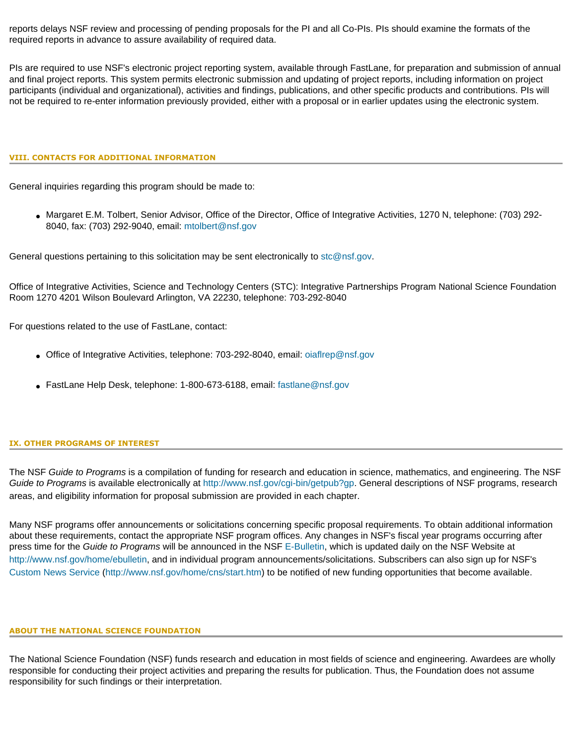reports delays NSF review and processing of pending proposals for the PI and all Co-PIs. PIs should examine the formats of the required reports in advance to assure availability of required data.

<span id="page-21-0"></span>PIs are required to use NSF's electronic project reporting system, available through FastLane, for preparation and submission of annual and final project reports. This system permits electronic submission and updating of project reports, including information on project participants (individual and organizational), activities and findings, publications, and other specific products and contributions. PIs will not be required to re-enter information previously provided, either with a proposal or in earlier updates using the electronic system.

#### **VIII. CONTACTS FOR ADDITIONAL INFORMATION**

General inquiries regarding this program should be made to:

• Margaret E.M. Tolbert, Senior Advisor, Office of the Director, Office of Integrative Activities, 1270 N, telephone: (703) 292-8040, fax: (703) 292-9040, email: [mtolbert@nsf.gov](mailto:mtolbert@nsf.gov)

General questions pertaining to this solicitation may be sent electronically to [stc@nsf.gov](mailto:stc@nsf.gov).

Office of Integrative Activities, Science and Technology Centers (STC): Integrative Partnerships Program National Science Foundation Room 1270 4201 Wilson Boulevard Arlington, VA 22230, telephone: 703-292-8040

For questions related to the use of FastLane, contact:

- Office of Integrative Activities, telephone: 703-292-8040, email: [oiaflrep@nsf.gov](mailto:oiaflrep@nsf.gov)
- <span id="page-21-1"></span>• FastLane Help Desk, telephone: 1-800-673-6188, email: [fastlane@nsf.gov](mailto:fastlane@nsf.gov)

#### **IX. OTHER PROGRAMS OF INTEREST**

The NSF *Guide to Programs* is a compilation of funding for research and education in science, mathematics, and engineering. The NSF *Guide to Programs* is available electronically at [http://www.nsf.gov/cgi-bin/getpub?gp.](http://www.nsf.gov/cgi-bin/getpub?gp) General descriptions of NSF programs, research areas, and eligibility information for proposal submission are provided in each chapter.

Many NSF programs offer announcements or solicitations concerning specific proposal requirements. To obtain additional information about these requirements, contact the appropriate NSF program offices. Any changes in NSF's fiscal year programs occurring after press time for the *Guide to Programs* will be announced in the NSF [E-Bulletin](http://www.nsf.gov/home/ebulletin), which is updated daily on the NSF Website at <http://www.nsf.gov/home/ebulletin>, and in individual program announcements/solicitations. Subscribers can also sign up for NSF's [Custom News Service](http://www.nsf.gov/home/cns/start.htm) [\(http://www.nsf.gov/home/cns/start.htm](http://www.nsf.gov/home/cns/start.htm)) to be notified of new funding opportunities that become available.

#### **ABOUT THE NATIONAL SCIENCE FOUNDATION**

The National Science Foundation (NSF) funds research and education in most fields of science and engineering. Awardees are wholly responsible for conducting their project activities and preparing the results for publication. Thus, the Foundation does not assume responsibility for such findings or their interpretation.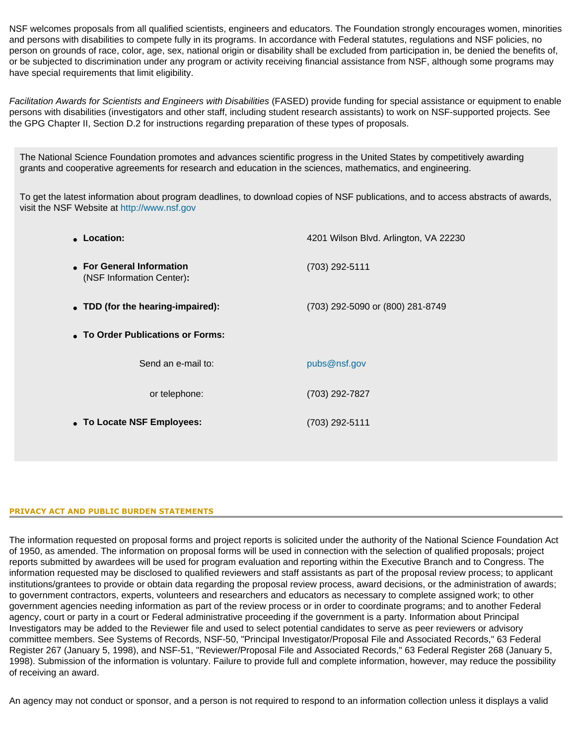NSF welcomes proposals from all qualified scientists, engineers and educators. The Foundation strongly encourages women, minorities and persons with disabilities to compete fully in its programs. In accordance with Federal statutes, regulations and NSF policies, no person on grounds of race, color, age, sex, national origin or disability shall be excluded from participation in, be denied the benefits of, or be subjected to discrimination under any program or activity receiving financial assistance from NSF, although some programs may have special requirements that limit eligibility.

*Facilitation Awards for Scientists and Engineers with Disabilities* (FASED) provide funding for special assistance or equipment to enable persons with disabilities (investigators and other staff, including student research assistants) to work on NSF-supported projects. See the GPG Chapter II, Section D.2 for instructions regarding preparation of these types of proposals.

The National Science Foundation promotes and advances scientific progress in the United States by competitively awarding grants and cooperative agreements for research and education in the sciences, mathematics, and engineering.

To get the latest information about program deadlines, to download copies of NSF publications, and to access abstracts of awards, visit the NSF Website at [http://www.nsf.gov](http://www.nsf.gov/)

| • Location:                                            | 4201 Wilson Blvd. Arlington, VA 22230 |
|--------------------------------------------------------|---------------------------------------|
| • For General Information<br>(NSF Information Center): | (703) 292-5111                        |
| • TDD (for the hearing-impaired):                      | (703) 292-5090 or (800) 281-8749      |
| • To Order Publications or Forms:                      |                                       |
| Send an e-mail to:                                     | pubs@nsf.gov                          |
| or telephone:                                          | (703) 292-7827                        |
| • To Locate NSF Employees:                             | (703) 292-5111                        |
|                                                        |                                       |

#### **PRIVACY ACT AND PUBLIC BURDEN STATEMENTS**

The information requested on proposal forms and project reports is solicited under the authority of the National Science Foundation Act of 1950, as amended. The information on proposal forms will be used in connection with the selection of qualified proposals; project reports submitted by awardees will be used for program evaluation and reporting within the Executive Branch and to Congress. The information requested may be disclosed to qualified reviewers and staff assistants as part of the proposal review process; to applicant institutions/grantees to provide or obtain data regarding the proposal review process, award decisions, or the administration of awards; to government contractors, experts, volunteers and researchers and educators as necessary to complete assigned work; to other government agencies needing information as part of the review process or in order to coordinate programs; and to another Federal agency, court or party in a court or Federal administrative proceeding if the government is a party. Information about Principal Investigators may be added to the Reviewer file and used to select potential candidates to serve as peer reviewers or advisory committee members. See Systems of Records, NSF-50, "Principal Investigator/Proposal File and Associated Records," 63 Federal Register 267 (January 5, 1998), and NSF-51, "Reviewer/Proposal File and Associated Records," 63 Federal Register 268 (January 5, 1998). Submission of the information is voluntary. Failure to provide full and complete information, however, may reduce the possibility of receiving an award.

An agency may not conduct or sponsor, and a person is not required to respond to an information collection unless it displays a valid